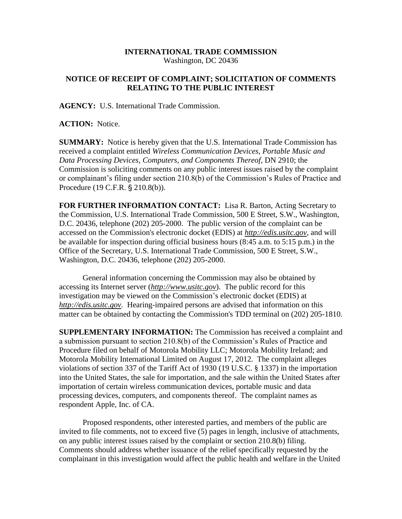## **INTERNATIONAL TRADE COMMISSION** Washington, DC 20436

## **NOTICE OF RECEIPT OF COMPLAINT; SOLICITATION OF COMMENTS RELATING TO THE PUBLIC INTEREST**

**AGENCY:** U.S. International Trade Commission.

**ACTION:** Notice.

**SUMMARY:** Notice is hereby given that the U.S. International Trade Commission has received a complaint entitled *Wireless Communication Devices, Portable Music and Data Processing Devices, Computers, and Components Thereof,* DN 2910; the Commission is soliciting comments on any public interest issues raised by the complaint or complainant's filing under section 210.8(b) of the Commission's Rules of Practice and Procedure (19 C.F.R. § 210.8(b)).

**FOR FURTHER INFORMATION CONTACT:** Lisa R. Barton, Acting Secretary to the Commission, U.S. International Trade Commission, 500 E Street, S.W., Washington, D.C. 20436, telephone (202) 205-2000. The public version of the complaint can be accessed on the Commission's electronic docket (EDIS) at *http://edis.usitc.gov*, and will be available for inspection during official business hours (8:45 a.m. to 5:15 p.m.) in the Office of the Secretary, U.S. International Trade Commission, 500 E Street, S.W., Washington, D.C. 20436, telephone (202) 205-2000.

General information concerning the Commission may also be obtained by accessing its Internet server (*http://www.usitc.gov*). The public record for this investigation may be viewed on the Commission's electronic docket (EDIS) at *http://edis.usitc.gov.* Hearing-impaired persons are advised that information on this matter can be obtained by contacting the Commission's TDD terminal on (202) 205-1810.

**SUPPLEMENTARY INFORMATION:** The Commission has received a complaint and a submission pursuant to section 210.8(b) of the Commission's Rules of Practice and Procedure filed on behalf of Motorola Mobility LLC; Motorola Mobility Ireland; and Motorola Mobility International Limited on August 17, 2012. The complaint alleges violations of section 337 of the Tariff Act of 1930 (19 U.S.C. § 1337) in the importation into the United States, the sale for importation, and the sale within the United States after importation of certain wireless communication devices, portable music and data processing devices, computers, and components thereof. The complaint names as respondent Apple, Inc. of CA.

Proposed respondents, other interested parties, and members of the public are invited to file comments, not to exceed five (5) pages in length, inclusive of attachments, on any public interest issues raised by the complaint or section 210.8(b) filing. Comments should address whether issuance of the relief specifically requested by the complainant in this investigation would affect the public health and welfare in the United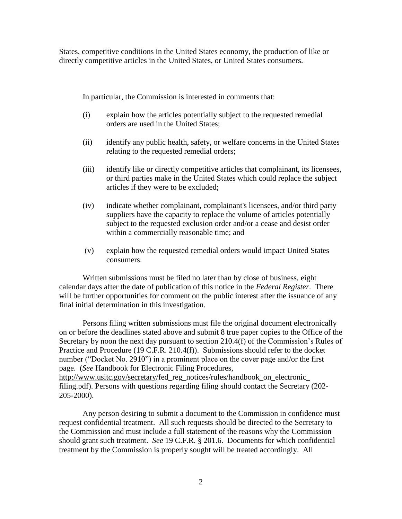States, competitive conditions in the United States economy, the production of like or directly competitive articles in the United States, or United States consumers.

In particular, the Commission is interested in comments that:

- (i) explain how the articles potentially subject to the requested remedial orders are used in the United States;
- (ii) identify any public health, safety, or welfare concerns in the United States relating to the requested remedial orders;
- (iii) identify like or directly competitive articles that complainant, its licensees, or third parties make in the United States which could replace the subject articles if they were to be excluded;
- (iv) indicate whether complainant, complainant's licensees, and/or third party suppliers have the capacity to replace the volume of articles potentially subject to the requested exclusion order and/or a cease and desist order within a commercially reasonable time; and
- (v) explain how the requested remedial orders would impact United States consumers.

Written submissions must be filed no later than by close of business, eight calendar days after the date of publication of this notice in the *Federal Register*. There will be further opportunities for comment on the public interest after the issuance of any final initial determination in this investigation.

Persons filing written submissions must file the original document electronically on or before the deadlines stated above and submit 8 true paper copies to the Office of the Secretary by noon the next day pursuant to section 210.4(f) of the Commission's Rules of Practice and Procedure (19 C.F.R. 210.4(f)). Submissions should refer to the docket number ("Docket No. 2910") in a prominent place on the cover page and/or the first page. (*See* Handbook for Electronic Filing Procedures, http://www.usitc.gov/secretary/fed\_reg\_notices/rules/handbook\_on\_electronic\_ filing.pdf). Persons with questions regarding filing should contact the Secretary (202- 205-2000).

Any person desiring to submit a document to the Commission in confidence must request confidential treatment. All such requests should be directed to the Secretary to the Commission and must include a full statement of the reasons why the Commission should grant such treatment. *See* 19 C.F.R. § 201.6. Documents for which confidential treatment by the Commission is properly sought will be treated accordingly. All